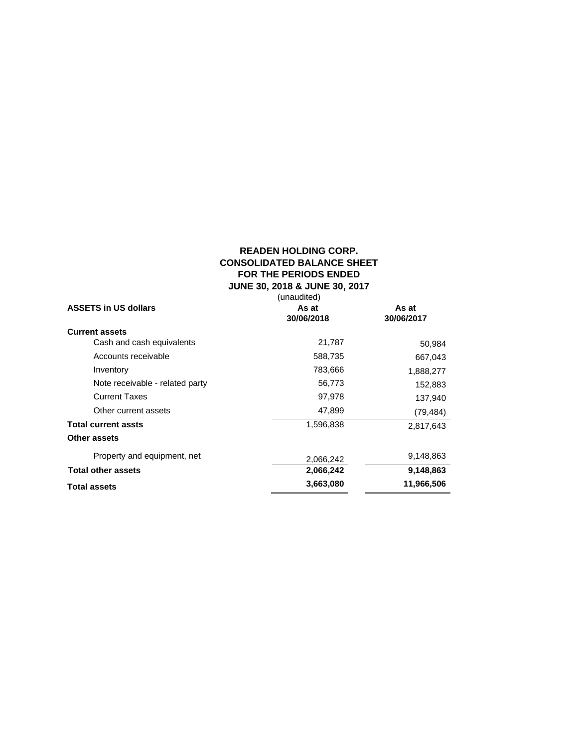# **READEN HOLDING CORP. CONSOLIDATED BALANCE SHEET FOR THE PERIODS ENDED JUNE 30, 2018 & JUNE 30, 2017**

|                                 | (unaudited) |            |
|---------------------------------|-------------|------------|
| <b>ASSETS in US dollars</b>     | As at       | As at      |
|                                 | 30/06/2018  | 30/06/2017 |
| <b>Current assets</b>           |             |            |
| Cash and cash equivalents       | 21,787      | 50,984     |
| Accounts receivable             | 588,735     | 667,043    |
| Inventory                       | 783,666     | 1,888,277  |
| Note receivable - related party | 56,773      | 152,883    |
| <b>Current Taxes</b>            | 97,978      | 137,940    |
| Other current assets            | 47,899      | (79, 484)  |
| <b>Total current assts</b>      | 1,596,838   | 2,817,643  |
| Other assets                    |             |            |
| Property and equipment, net     | 2,066,242   | 9,148,863  |
| <b>Total other assets</b>       | 2,066,242   | 9,148,863  |
| <b>Total assets</b>             | 3,663,080   | 11,966,506 |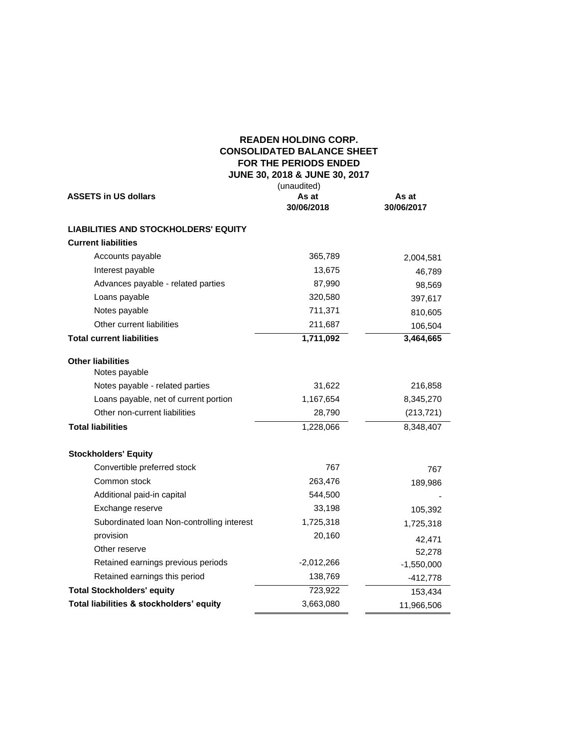# **READEN HOLDING CORP. CONSOLIDATED BALANCE SHEET FOR THE PERIODS ENDED JUNE 30, 2018 & JUNE 30, 2017**

| <b>ASSETS in US dollars</b>                 | (unaudited)<br>As at<br>30/06/2018 | As at<br>30/06/2017 |
|---------------------------------------------|------------------------------------|---------------------|
| <b>LIABILITIES AND STOCKHOLDERS' EQUITY</b> |                                    |                     |
| <b>Current liabilities</b>                  |                                    |                     |
| Accounts payable                            | 365,789                            | 2,004,581           |
| Interest payable                            | 13,675                             | 46,789              |
| Advances payable - related parties          | 87,990                             | 98,569              |
| Loans payable                               | 320,580                            | 397,617             |
| Notes payable                               | 711,371                            | 810,605             |
| Other current liabilities                   | 211,687                            | 106,504             |
| <b>Total current liabilities</b>            | 1,711,092                          | 3,464,665           |
| <b>Other liabilities</b><br>Notes payable   |                                    |                     |
| Notes payable - related parties             | 31,622                             | 216,858             |
| Loans payable, net of current portion       | 1,167,654                          | 8,345,270           |
| Other non-current liabilities               | 28,790                             | (213, 721)          |
| <b>Total liabilities</b>                    | 1,228,066                          | 8,348,407           |
| <b>Stockholders' Equity</b>                 |                                    |                     |
| Convertible preferred stock                 | 767                                | 767                 |
| Common stock                                | 263,476                            | 189,986             |
| Additional paid-in capital                  | 544,500                            |                     |
| Exchange reserve                            | 33,198                             | 105,392             |
| Subordinated Ioan Non-controlling interest  | 1,725,318                          | 1,725,318           |
| provision                                   | 20,160                             | 42,471              |
| Other reserve                               |                                    | 52,278              |
| Retained earnings previous periods          | $-2,012,266$                       | $-1,550,000$        |
| Retained earnings this period               | 138,769                            | $-412,778$          |
| <b>Total Stockholders' equity</b>           | 723,922                            | 153,434             |
| Total liabilities & stockholders' equity    | 3,663,080                          | 11,966,506          |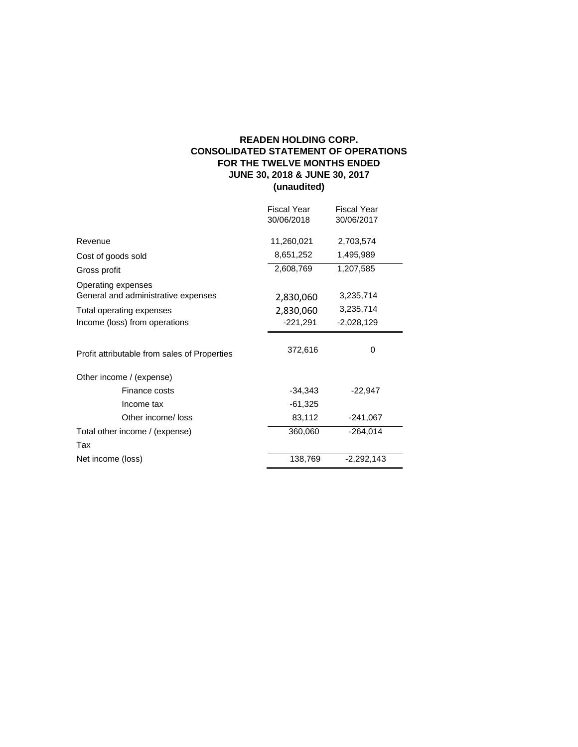# **READEN HOLDING CORP. CONSOLIDATED STATEMENT OF OPERATIONS FOR THE TWELVE MONTHS ENDED JUNE 30, 2018 & JUNE 30, 2017 (unaudited)**

| Fiscal Year<br>30/06/2018 | Fiscal Year<br>30/06/2017 |
|---------------------------|---------------------------|
| 11,260,021                | 2,703,574                 |
| 8,651,252                 | 1,495,989                 |
| 2,608,769                 | 1,207,585                 |
|                           |                           |
| 2,830,060                 | 3,235,714                 |
| 2,830,060                 | 3,235,714                 |
| $-221,291$                | $-2,028,129$              |
| 372,616                   | 0                         |
|                           |                           |
| $-34,343$                 | $-22,947$                 |
| $-61,325$                 |                           |
| 83,112                    | $-241,067$                |
| 360,060                   | $-264,014$                |
|                           |                           |
| 138,769                   | $-2,292,143$              |
|                           |                           |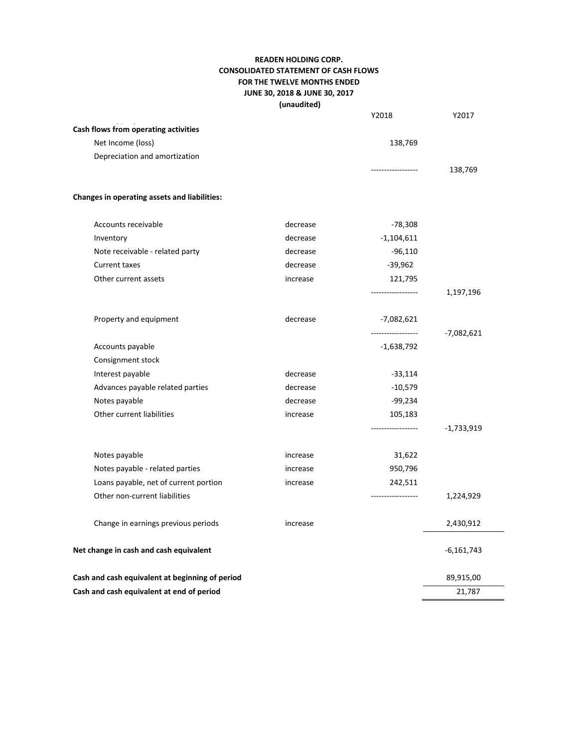# **READEN HOLDING CORP. CONSOLIDATED STATEMENT OF CASH FLOWS FOR THE TWELVE MONTHS ENDED JUNE 30, 2018 & JUNE 30, 2017 (unaudited)**

|                                                 |          | Y2018              | Y2017        |
|-------------------------------------------------|----------|--------------------|--------------|
| Cash flows from operating activities            |          |                    |              |
| Net Income (loss)                               |          | 138,769            |              |
| Depreciation and amortization                   |          |                    |              |
|                                                 |          |                    | 138,769      |
| Changes in operating assets and liabilities:    |          |                    |              |
| Accounts receivable                             | decrease | -78,308            |              |
| Inventory                                       | decrease | $-1,104,611$       |              |
| Note receivable - related party                 | decrease | $-96,110$          |              |
| Current taxes                                   | decrease | $-39,962$          |              |
| Other current assets                            | increase | 121,795            |              |
|                                                 |          | .                  | 1,197,196    |
| Property and equipment                          | decrease | -7,082,621         |              |
|                                                 |          | ------------------ | -7,082,621   |
| Accounts payable                                |          | $-1,638,792$       |              |
| Consignment stock                               |          |                    |              |
| Interest payable                                | decrease | $-33,114$          |              |
| Advances payable related parties                | decrease | $-10,579$          |              |
| Notes payable                                   | decrease | $-99,234$          |              |
| Other current liabilities                       | increase | 105,183            |              |
|                                                 |          |                    | $-1,733,919$ |
| Notes payable                                   | increase | 31,622             |              |
| Notes payable - related parties                 | increase | 950,796            |              |
| Loans payable, net of current portion           | increase | 242,511            |              |
| Other non-current liabilities                   |          | ------------------ | 1,224,929    |
| Change in earnings previous periods             | increase |                    | 2,430,912    |
| Net change in cash and cash equivalent          |          |                    | -6,161,743   |
| Cash and cash equivalent at beginning of period |          |                    | 89,915,00    |
| Cash and cash equivalent at end of period       |          |                    | 21,787       |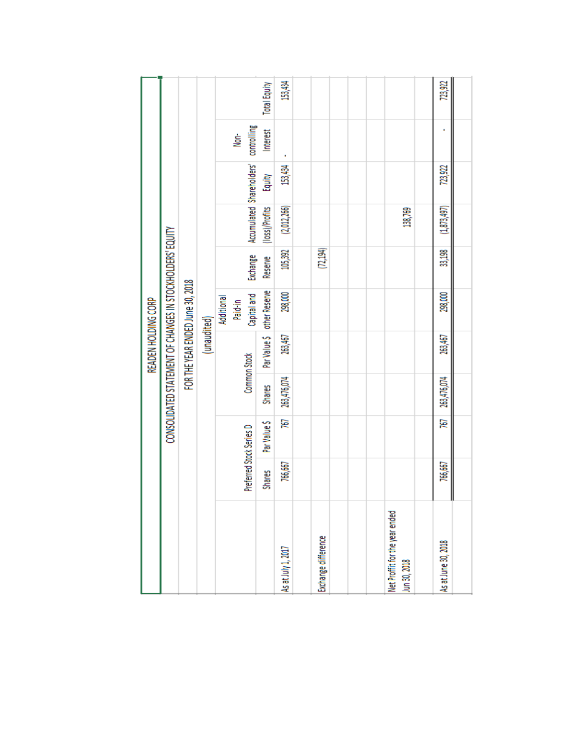|                                               |               |                          |               | READEN HOLDING CORP |                                                           |           |                           |         |                     |              |
|-----------------------------------------------|---------------|--------------------------|---------------|---------------------|-----------------------------------------------------------|-----------|---------------------------|---------|---------------------|--------------|
|                                               |               |                          |               |                     | CONSOLIDATED STATEMENT OF CHANGES IN STOCKHOLDERS' EQUITY |           |                           |         |                     |              |
|                                               |               |                          |               |                     | FOR THE YEAR ENDED June 30, 2018                          |           |                           |         |                     |              |
|                                               |               |                          |               | (unaudited)         |                                                           |           |                           |         |                     |              |
|                                               |               | Preferred Stock Series D | Common Stock  |                     | Capital and<br>Additional<br>Paid-in                      | Exchange  | Accumulated Shareholders' |         | controlling<br>Non- |              |
|                                               | <b>Shares</b> | Par Value \$             | <b>Shares</b> | Par Value \$        | other Reserve                                             | Reserve   | (loss)/Profits            | Equity  | Interest            | Total Equity |
| is at July 1, 2017                            | 766,667       | 767                      | 263,476,074   | 263,467             | 298,000                                                   | 105,392   | (2,012,266)               | 153,434 |                     | 153,434      |
|                                               |               |                          |               |                     |                                                           |           |                           |         |                     |              |
| xchange difference                            |               |                          |               |                     |                                                           | (72, 194) |                           |         |                     |              |
|                                               |               |                          |               |                     |                                                           |           |                           |         |                     |              |
|                                               |               |                          |               |                     |                                                           |           |                           |         |                     |              |
| let Proffit for the year ended<br>un 30, 2018 |               |                          |               |                     |                                                           |           | 138,769                   |         |                     |              |
|                                               |               |                          |               |                     |                                                           |           |                           |         |                     |              |
| <b>Is at June 30, 2018</b>                    | 766,667<br>II | 767                      | 263,476,074   | 263,467             | 298,000                                                   | 33,198    | (1,873,497)               | 723,922 |                     | 723,922      |
|                                               |               |                          |               |                     |                                                           |           |                           |         |                     |              |
|                                               |               |                          |               |                     |                                                           |           |                           |         |                     |              |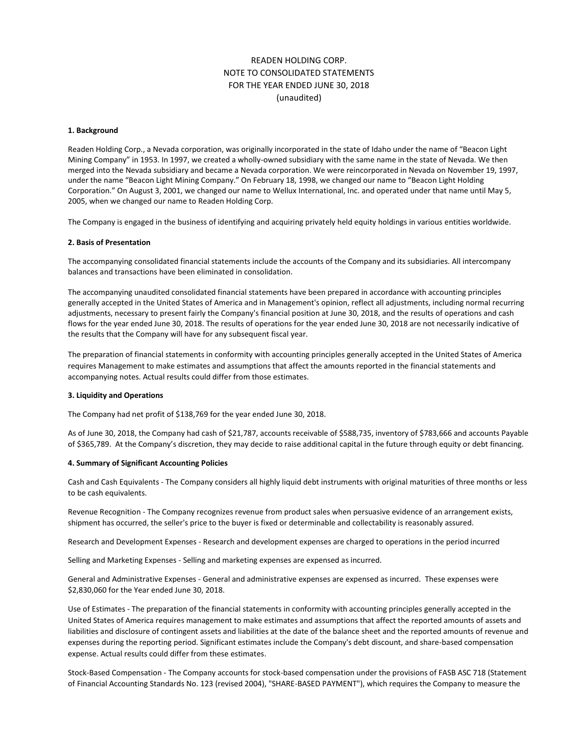# READEN HOLDING CORP. NOTE TO CONSOLIDATED STATEMENTS FOR THE YEAR ENDED JUNE 30, 2018 (unaudited)

#### **1. Background**

Readen Holding Corp., a Nevada corporation, was originally incorporated in the state of Idaho under the name of "Beacon Light Mining Company" in 1953. In 1997, we created a wholly-owned subsidiary with the same name in the state of Nevada. We then merged into the Nevada subsidiary and became a Nevada corporation. We were reincorporated in Nevada on November 19, 1997, under the name "Beacon Light Mining Company." On February 18, 1998, we changed our name to "Beacon Light Holding Corporation." On August 3, 2001, we changed our name to Wellux International, Inc. and operated under that name until May 5, 2005, when we changed our name to Readen Holding Corp.

The Company is engaged in the business of identifying and acquiring privately held equity holdings in various entities worldwide.

### **2. Basis of Presentation**

The accompanying consolidated financial statements include the accounts of the Company and its subsidiaries. All intercompany balances and transactions have been eliminated in consolidation.

The accompanying unaudited consolidated financial statements have been prepared in accordance with accounting principles generally accepted in the United States of America and in Management's opinion, reflect all adjustments, including normal recurring adjustments, necessary to present fairly the Company's financial position at June 30, 2018, and the results of operations and cash flows for the year ended June 30, 2018. The results of operations for the year ended June 30, 2018 are not necessarily indicative of the results that the Company will have for any subsequent fiscal year.

The preparation of financial statements in conformity with accounting principles generally accepted in the United States of America requires Management to make estimates and assumptions that affect the amounts reported in the financial statements and accompanying notes. Actual results could differ from those estimates.

#### **3. Liquidity and Operations**

The Company had net profit of \$138,769 for the year ended June 30, 2018.

As of June 30, 2018, the Company had cash of \$21,787, accounts receivable of \$588,735, inventory of \$783,666 and accounts Payable of \$365,789. At the Company's discretion, they may decide to raise additional capital in the future through equity or debt financing.

#### **4. Summary of Significant Accounting Policies**

Cash and Cash Equivalents - The Company considers all highly liquid debt instruments with original maturities of three months or less to be cash equivalents.

Revenue Recognition - The Company recognizes revenue from product sales when persuasive evidence of an arrangement exists, shipment has occurred, the seller's price to the buyer is fixed or determinable and collectability is reasonably assured.

Research and Development Expenses - Research and development expenses are charged to operations in the period incurred

Selling and Marketing Expenses - Selling and marketing expenses are expensed as incurred.

General and Administrative Expenses - General and administrative expenses are expensed as incurred. These expenses were \$2,830,060 for the Year ended June 30, 2018.

Use of Estimates - The preparation of the financial statements in conformity with accounting principles generally accepted in the United States of America requires management to make estimates and assumptions that affect the reported amounts of assets and liabilities and disclosure of contingent assets and liabilities at the date of the balance sheet and the reported amounts of revenue and expenses during the reporting period. Significant estimates include the Company's debt discount, and share-based compensation expense. Actual results could differ from these estimates.

Stock-Based Compensation - The Company accounts for stock-based compensation under the provisions of FASB ASC 718 (Statement of Financial Accounting Standards No. 123 (revised 2004), "SHARE-BASED PAYMENT"), which requires the Company to measure the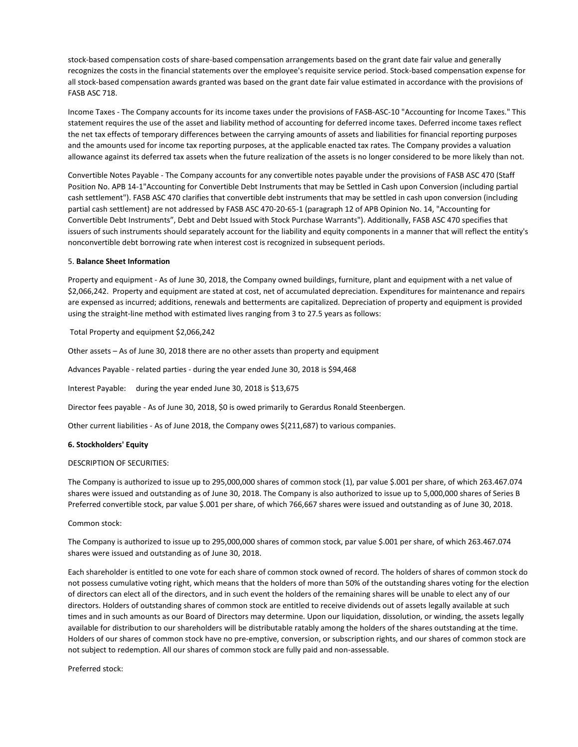stock-based compensation costs of share-based compensation arrangements based on the grant date fair value and generally recognizes the costs in the financial statements over the employee's requisite service period. Stock-based compensation expense for all stock-based compensation awards granted was based on the grant date fair value estimated in accordance with the provisions of FASB ASC 718.

Income Taxes - The Company accounts for its income taxes under the provisions of FASB-ASC-10 "Accounting for Income Taxes." This statement requires the use of the asset and liability method of accounting for deferred income taxes. Deferred income taxes reflect the net tax effects of temporary differences between the carrying amounts of assets and liabilities for financial reporting purposes and the amounts used for income tax reporting purposes, at the applicable enacted tax rates. The Company provides a valuation allowance against its deferred tax assets when the future realization of the assets is no longer considered to be more likely than not.

Convertible Notes Payable - The Company accounts for any convertible notes payable under the provisions of FASB ASC 470 (Staff Position No. APB 14-1"Accounting for Convertible Debt Instruments that may be Settled in Cash upon Conversion (including partial cash settlement"). FASB ASC 470 clarifies that convertible debt instruments that may be settled in cash upon conversion (including partial cash settlement) are not addressed by FASB ASC 470-20-65-1 (paragraph 12 of APB Opinion No. 14, "Accounting for Convertible Debt Instruments", Debt and Debt Issued with Stock Purchase Warrants"). Additionally, FASB ASC 470 specifies that issuers of such instruments should separately account for the liability and equity components in a manner that will reflect the entity's nonconvertible debt borrowing rate when interest cost is recognized in subsequent periods.

### 5. **Balance Sheet Information**

Property and equipment - As of June 30, 2018, the Company owned buildings, furniture, plant and equipment with a net value of \$2,066,242. Property and equipment are stated at cost, net of accumulated depreciation. Expenditures for maintenance and repairs are expensed as incurred; additions, renewals and betterments are capitalized. Depreciation of property and equipment is provided using the straight-line method with estimated lives ranging from 3 to 27.5 years as follows:

Total Property and equipment \$2,066,242

Other assets – As of June 30, 2018 there are no other assets than property and equipment

Advances Payable - related parties - during the year ended June 30, 2018 is \$94,468

Interest Payable: during the year ended June 30, 2018 is \$13,675

Director fees payable - As of June 30, 2018, \$0 is owed primarily to Gerardus Ronald Steenbergen.

Other current liabilities - As of June 2018, the Company owes \$(211,687) to various companies.

# **6. Stockholders' Equity**

#### DESCRIPTION OF SECURITIES:

The Company is authorized to issue up to 295,000,000 shares of common stock (1), par value \$.001 per share, of which 263.467.074 shares were issued and outstanding as of June 30, 2018. The Company is also authorized to issue up to 5,000,000 shares of Series B Preferred convertible stock, par value \$.001 per share, of which 766,667 shares were issued and outstanding as of June 30, 2018.

# Common stock:

The Company is authorized to issue up to 295,000,000 shares of common stock, par value \$.001 per share, of which 263.467.074 shares were issued and outstanding as of June 30, 2018.

Each shareholder is entitled to one vote for each share of common stock owned of record. The holders of shares of common stock do not possess cumulative voting right, which means that the holders of more than 50% of the outstanding shares voting for the election of directors can elect all of the directors, and in such event the holders of the remaining shares will be unable to elect any of our directors. Holders of outstanding shares of common stock are entitled to receive dividends out of assets legally available at such times and in such amounts as our Board of Directors may determine. Upon our liquidation, dissolution, or winding, the assets legally available for distribution to our shareholders will be distributable ratably among the holders of the shares outstanding at the time. Holders of our shares of common stock have no pre-emptive, conversion, or subscription rights, and our shares of common stock are not subject to redemption. All our shares of common stock are fully paid and non-assessable.

Preferred stock: